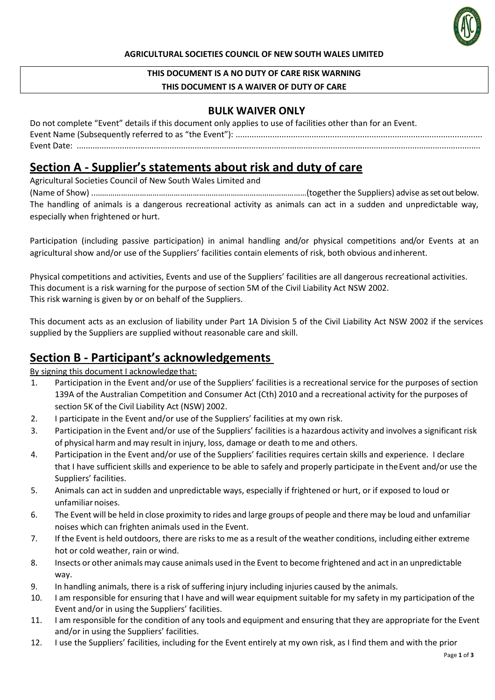

#### **AGRICULTURAL SOCIETIES COUNCIL OF NEW SOUTH WALES LIMITED**

# **THIS DOCUMENT IS A NO DUTY OF CARE RISK WARNING**

### **THIS DOCUMENT IS A WAIVER OF DUTY OF CARE**

### **BULK WAIVER ONLY**

| Do not complete "Event" details if this document only applies to use of facilities other than for an Event. |
|-------------------------------------------------------------------------------------------------------------|
|                                                                                                             |
|                                                                                                             |

### **Section A - Supplier's statements about risk and duty of care**

Agricultural Societies Council of New South Wales Limited and

(Name of Show) ..…………………………….…………………………………………………………(together the Suppliers) advise as set out below. The handling of animals is a dangerous recreational activity as animals can act in a sudden and unpredictable way, especially when frightened or hurt.

Participation (including passive participation) in animal handling and/or physical competitions and/or Events at an agricultural show and/or use of the Suppliers' facilities contain elements of risk, both obvious andinherent.

Physical competitions and activities, Events and use of the Suppliers' facilities are all dangerous recreational activities. This document is a risk warning for the purpose of section 5M of the Civil Liability Act NSW 2002. This risk warning is given by or on behalf of the Suppliers.

This document acts as an exclusion of liability under Part 1A Division 5 of the Civil Liability Act NSW 2002 if the services supplied by the Suppliers are supplied without reasonable care and skill.

### **Section B - Participant's acknowledgements**

By signing this document I acknowledge that:

- 1. Participation in the Event and/or use of the Suppliers' facilities is a recreational service for the purposes of section 139A of the Australian Competition and Consumer Act (Cth) 2010 and a recreational activity for the purposes of section 5K of the Civil Liability Act (NSW) 2002.
- 2. I participate in the Event and/or use of the Suppliers' facilities at my own risk.
- 3. Participation in the Event and/or use of the Suppliers' facilities is a hazardous activity and involves a significant risk of physical harm and may result in injury, loss, damage or death to me and others.
- 4. Participation in the Event and/or use of the Suppliers' facilities requires certain skills and experience. I declare that I have sufficient skills and experience to be able to safely and properly participate in theEvent and/or use the Suppliers' facilities.
- 5. Animals can act in sudden and unpredictable ways, especially if frightened or hurt, or if exposed to loud or unfamiliar noises.
- 6. The Event will be held in close proximity to rides and large groups of people and there may be loud and unfamiliar noises which can frighten animals used in the Event.
- 7. If the Event is held outdoors, there are risksto me as a result of the weather conditions, including either extreme hot or cold weather, rain or wind.
- 8. Insects or other animals may cause animals used in the Event to become frightened and act in an unpredictable way.
- 9. In handling animals, there is a risk of suffering injury including injuries caused by the animals.
- 10. I am responsible for ensuring that I have and will wear equipment suitable for my safety in my participation of the Event and/or in using the Suppliers' facilities.
- 11. I am responsible for the condition of any tools and equipment and ensuring that they are appropriate for the Event and/or in using the Suppliers' facilities.
- 12. I use the Suppliers' facilities, including for the Event entirely at my own risk, as I find them and with the prior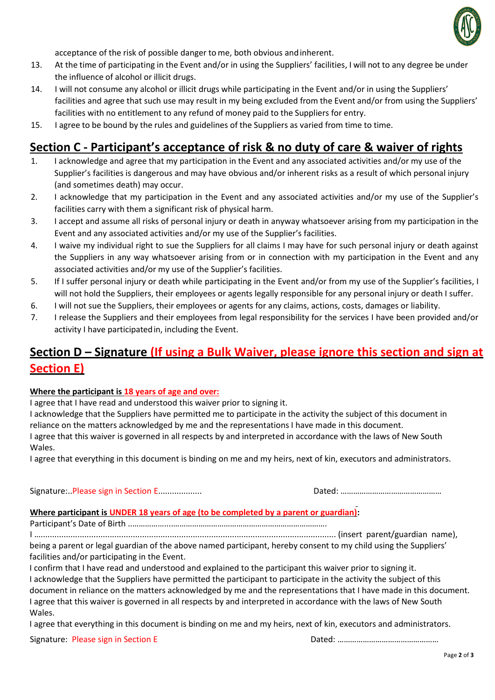

acceptance of the risk of possible danger to me, both obvious andinherent.

- 13. At the time of participating in the Event and/or in using the Suppliers' facilities, I will not to any degree be under the influence of alcohol or illicit drugs.
- 14. I will not consume any alcohol or illicit drugs while participating in the Event and/or in using the Suppliers' facilities and agree that such use may result in my being excluded from the Event and/or from using the Suppliers' facilities with no entitlement to any refund of money paid to the Suppliers for entry.
- 15. I agree to be bound by the rules and guidelines of the Suppliers as varied from time to time.

## **Section C - Participant's acceptance of risk & no duty of care & waiver of rights**

- 1. I acknowledge and agree that my participation in the Event and any associated activities and/or my use of the Supplier's facilities is dangerous and may have obvious and/or inherent risks as a result of which personal injury (and sometimes death) may occur.
- 2. I acknowledge that my participation in the Event and any associated activities and/or my use of the Supplier's facilities carry with them a significant risk of physical harm.
- 3. I accept and assume all risks of personal injury or death in anyway whatsoever arising from my participation in the Event and any associated activities and/or my use of the Supplier's facilities.
- 4. I waive my individual right to sue the Suppliers for all claims I may have for such personal injury or death against the Suppliers in any way whatsoever arising from or in connection with my participation in the Event and any associated activities and/or my use of the Supplier's facilities.
- 5. If I suffer personal injury or death while participating in the Event and/or from my use of the Supplier's facilities, I will not hold the Suppliers, their employees or agents legally responsible for any personal injury or death I suffer.
- 6. I will not sue the Suppliers, their employees or agents for any claims, actions, costs, damages or liability.
- 7. I release the Suppliers and their employees from legal responsibility for the services I have been provided and/or activity I have participatedin, including the Event.

## **Section D – Signature (If using a Bulk Waiver, please ignore this section and sign at Section E)**

#### **Where the participant is 18 years of age and over:**

I agree that I have read and understood this waiver prior to signing it.

I acknowledge that the Suppliers have permitted me to participate in the activity the subject of this document in reliance on the matters acknowledged by me and the representations I have made in this document. I agree that this waiver is governed in all respects by and interpreted in accordance with the laws of New South Wales.

I agree that everything in this document is binding on me and my heirs, next of kin, executors and administrators.

Signature:..Please sign in Section E................... Dated: …………………………………………

#### **Where participant is UNDER 18 years of age (to be completed by a parent or guardian):**

Participant's Date of Birth ..……………....……………………………………………………………….

I …................................................................................................................................ (insert parent/guardian name), being a parent or legal guardian of the above named participant, hereby consent to my child using the Suppliers' facilities and/or participating in the Event.

I confirm that I have read and understood and explained to the participant this waiver prior to signing it. I acknowledge that the Suppliers have permitted the participant to participate in the activity the subject of this document in reliance on the matters acknowledged by me and the representations that I have made in this document. I agree that this waiver is governed in all respects by and interpreted in accordance with the laws of New South Wales.

I agree that everything in this document is binding on me and my heirs, next of kin, executors and administrators.

Signature: Please sign in Section E Dated: …………………………………………